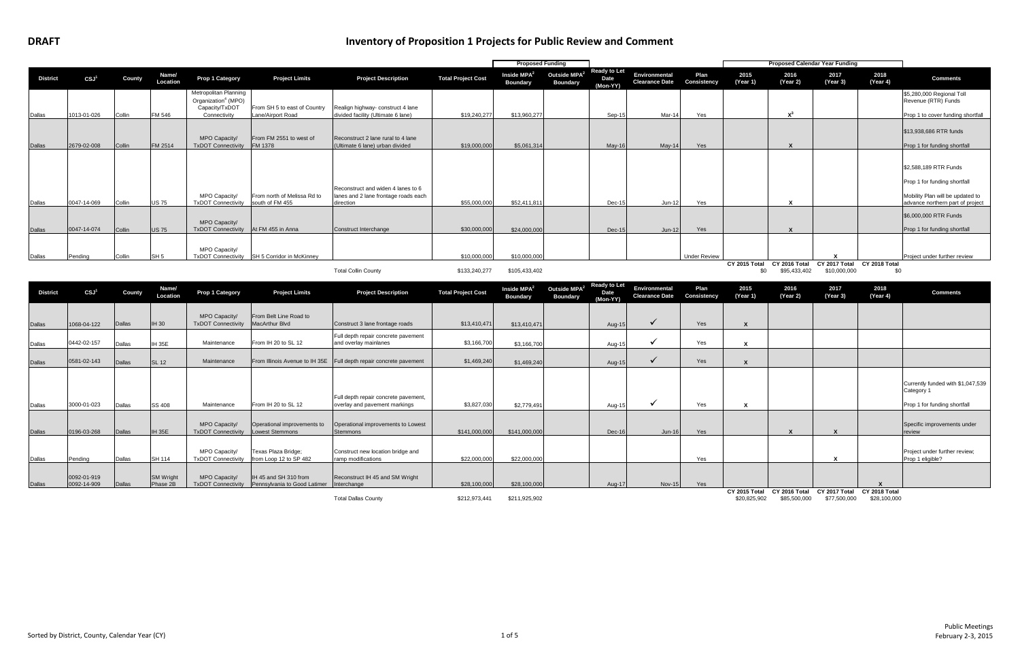|                 |                  |        |                   |                                                                                            |                                                   |                                                                                         |                           | <b>Proposed Funding</b>                    |                                             |                                         |                                               |                     |                      |                               | <b>Proposed Calendar Year Funding</b>       |                  |                                                                                                                               |
|-----------------|------------------|--------|-------------------|--------------------------------------------------------------------------------------------|---------------------------------------------------|-----------------------------------------------------------------------------------------|---------------------------|--------------------------------------------|---------------------------------------------|-----------------------------------------|-----------------------------------------------|---------------------|----------------------|-------------------------------|---------------------------------------------|------------------|-------------------------------------------------------------------------------------------------------------------------------|
| <b>District</b> | $\mathsf{CSJ}^1$ | County | Name/<br>Location | Prop 1 Category                                                                            | <b>Project Limits</b>                             | <b>Project Description</b>                                                              | <b>Total Project Cost</b> | Inside MPA <sup>2</sup><br><b>Boundary</b> | Outside MPA <sup>2</sup><br><b>Boundary</b> | <b>Ready to Let</b><br>Date<br>(Mon-YY) | <b>Environmental</b><br><b>Clearance Date</b> | Plan<br>Consistency | 2015<br>(Year 1)     | 2016<br>(Year 2)              | 2017<br>(Year 3)                            | 2018<br>(Year 4) | <b>Comments</b>                                                                                                               |
| Dallas          | 1013-01-026      | Collin | FM 546            | Metropolitan Planning<br>Organization <sup>4</sup> (MPO)<br>Capacity/TxDOT<br>Connectivity | From SH 5 to east of Country<br>Lane/Airport Road | Realign highway- construct 4 lane<br>divided facility (Ultimate 6 lane)                 | \$19,240,277              | \$13,960,277                               |                                             | Sep-1                                   | Mar-1                                         | Yes                 |                      | $\mathbf{v}^3$                |                                             |                  | \$5,280,000 Regional Toll<br>Revenue (RTR) Funds<br>Prop 1 to cover funding shortfall                                         |
| <b>Dallas</b>   | 2679-02-008      | Collin | FM 2514           | MPO Capacity/<br><b>TxDOT Connectivity</b>                                                 | From FM 2551 to west of<br>FM 1378                | Reconstruct 2 lane rural to 4 lane<br>(Ultimate 6 lane) urban divided                   | \$19,000,000              | \$5,061,314                                |                                             | $May-16$                                | $May-14$                                      | <b>Yes</b>          |                      |                               |                                             |                  | \$13,938,686 RTR funds<br>Prop 1 for funding shortfall                                                                        |
| Dallas          | 0047-14-069      | Collin | <b>US75</b>       | MPO Capacity/<br><b>TxDOT Connectivity</b>                                                 | From north of Melissa Rd to<br>south of FM 455    | Reconstruct and widen 4 lanes to 6<br>lanes and 2 lane frontage roads each<br>direction | \$55,000,000              | \$52,411,811                               |                                             | Dec-1                                   | $Jun-1$                                       | Yes                 |                      |                               |                                             |                  | \$2,588,189 RTR Funds<br>Prop 1 for funding shortfall<br>Mobility Plan will be updated to<br>advance northern part of project |
| <b>Dallas</b>   | 0047-14-074      | Collin | <b>US75</b>       | MPO Capacity/<br><b>TxDOT Connectivity</b>                                                 | At FM 455 in Anna                                 | Construct Interchange                                                                   | \$30,000,000              | \$24,000,000                               |                                             | $Dec-15$                                | $Jun-12$                                      | <b>Yes</b>          |                      |                               |                                             |                  | \$6,000,000 RTR Funds<br>Prop 1 for funding shortfall                                                                         |
| Dallas          | Pendina          | Collin | SH <sub>5</sub>   | MPO Capacity/<br><b>TxDOT Connectivity</b>                                                 | SH 5 Corridor in McKinney                         |                                                                                         | \$10,000,000              | \$10,000,000                               |                                             |                                         |                                               | <b>Under Review</b> |                      |                               |                                             |                  | Project under further review                                                                                                  |
|                 |                  |        |                   |                                                                                            |                                                   | <b>Total Collin County</b>                                                              | \$133,240,277             | \$105,433,402                              |                                             | Ready to Let                            |                                               |                     | CY 2015 Total<br>\$0 | CY 2016 Total<br>\$95,433,402 | CY 2017 Total CY 2018 Total<br>\$10,000,000 | \$0              |                                                                                                                               |

| <b>District</b> | CSJ <sup>1</sup>           | County | Name/<br>Location            | Prop 1 Category                            | <b>Project Limits</b>                                 | <b>Project Description</b>                                            | <b>Total Project Cost</b> | Inside $MPA2$<br><b>Boundary</b> | Outside MPA <sup>2</sup><br><b>Boundary</b> | <b>Ready to Let</b><br>Date<br>(Mon-YY) | Environmental<br><b>Clearance Date</b> | Plan<br>Consistency | 2015<br>(Year 1)              | 2016<br>(Year 2)              | 2017<br>(Year 3)              | 2018<br>(Year 4)              | <b>Comments</b>                                                                 |
|-----------------|----------------------------|--------|------------------------------|--------------------------------------------|-------------------------------------------------------|-----------------------------------------------------------------------|---------------------------|----------------------------------|---------------------------------------------|-----------------------------------------|----------------------------------------|---------------------|-------------------------------|-------------------------------|-------------------------------|-------------------------------|---------------------------------------------------------------------------------|
| <b>Dallas</b>   | 1068-04-122                | Dallas | <b>IH 30</b>                 | MPO Capacity/<br><b>TxDOT Connectivity</b> | From Belt Line Road to<br>MacArthur Blvd              | Construct 3 lane frontage roads                                       | \$13,410,471              | \$13,410,471                     |                                             | Aug-15                                  |                                        | Yes                 |                               |                               |                               |                               |                                                                                 |
| Dallas          | 0442-02-157                | Dallas | <b>IH 35E</b>                | Maintenance                                | From IH 20 to SL 12                                   | Full depth repair concrete pavement<br>and overlay mainlanes          | \$3,166,700               | \$3,166,700                      |                                             | Aug-1                                   |                                        | Yes                 |                               |                               |                               |                               |                                                                                 |
| Dallas          | 0581-02-143                | Dallas | <b>SL 12</b>                 | Maintenance                                | From Illinois Avenue to IH 35E                        | Full depth repair concrete pavement                                   | \$1,469,240               | \$1,469,240                      |                                             | Aug-15                                  |                                        | Yes                 |                               |                               |                               |                               |                                                                                 |
| Dallas          | 3000-01-023                | Dallas | <b>SS 408</b>                | Maintenance                                | From IH 20 to SL 12                                   | Full depth repair concrete pavement,<br>overlay and pavement markings | \$3,827,030               | \$2,779,491                      |                                             | Aug-1                                   |                                        | Yes                 |                               |                               |                               |                               | Currently funded with \$1,047,539<br>Category 1<br>Prop 1 for funding shortfall |
| <b>Dallas</b>   | 0196-03-268                | Dallas | <b>IH 35E</b>                | MPO Capacity/<br><b>TxDOT Connectivity</b> | Operational improvements to<br><b>Lowest Stemmons</b> | Operational improvements to Lowest<br>Stemmons                        | \$141,000,000             | \$141,000,000                    |                                             | Dec-16                                  | $Jun-16$                               | Yes                 |                               | X                             |                               |                               | Specific improvements under<br>review                                           |
| Dallas          | Pendina                    | Dallas | <b>SH 114</b>                | MPO Capacity/<br><b>TxDOT Connectivity</b> | Texas Plaza Bridge;<br>from Loop 12 to SP 482         | Construct new location bridge and<br>ramp modifications               | \$22,000,000              | \$22,000,000                     |                                             |                                         |                                        | Yes                 |                               |                               |                               |                               | Project under further review:<br>Prop 1 eligible?                               |
| Dallas          | 0092-01-919<br>0092-14-909 | Dallas | <b>SM Wright</b><br>Phase 2B | MPO Capacity/<br><b>TxDOT Connectivity</b> | IH 45 and SH 310 from<br>Pennsylvania to Good Latimer | Reconstruct IH 45 and SM Wright<br>Interchange                        | \$28,100,000              | \$28,100,000                     |                                             | Aug-17                                  | <b>Nov-15</b>                          | Yes                 |                               |                               |                               |                               |                                                                                 |
|                 |                            |        |                              |                                            |                                                       | <b>Total Dallas County</b>                                            | \$212,973,441             | \$211,925,902                    |                                             |                                         |                                        |                     | CY 2015 Total<br>\$20,825,902 | CY 2016 Total<br>\$85,500,000 | CY 2017 Total<br>\$77,500,000 | CY 2018 Total<br>\$28,100,000 |                                                                                 |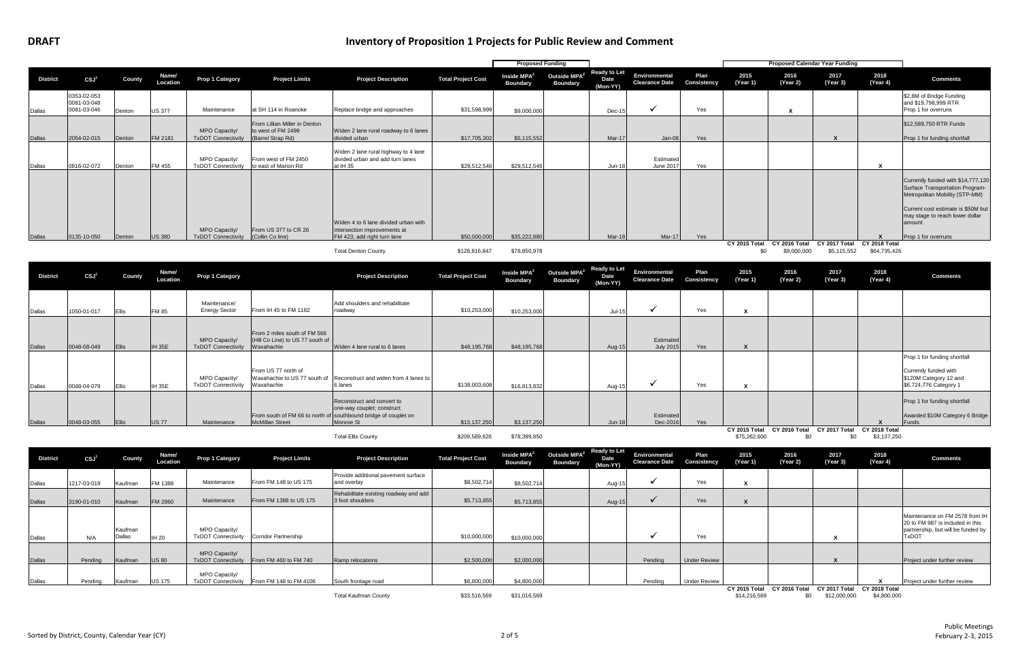|                                                                                                     |                           | <b>Proposed Funding</b>          |                                             |                                         |                                        |                     |                      | <b>Proposed Calendar Year Funding</b> |                              |                               |                                                                                                                                                                                                                   |
|-----------------------------------------------------------------------------------------------------|---------------------------|----------------------------------|---------------------------------------------|-----------------------------------------|----------------------------------------|---------------------|----------------------|---------------------------------------|------------------------------|-------------------------------|-------------------------------------------------------------------------------------------------------------------------------------------------------------------------------------------------------------------|
| <b>Project Description</b>                                                                          | <b>Total Project Cost</b> | Inside $MPA2$<br><b>Boundary</b> | Outside MPA <sup>2</sup><br><b>Boundary</b> | <b>Ready to Let</b><br>Date<br>(Mon-YY) | Environmental<br><b>Clearance Date</b> | Plan<br>Consistency | 2015<br>(Year 1)     | 2016<br>(Year 2)                      | 2017<br>(Year 3)             | 2018<br>(Year 4)              | <b>Comments</b>                                                                                                                                                                                                   |
| Replace bridge and approaches                                                                       | \$31,598,999              | \$9,000,000                      |                                             | Dec-15                                  | ✔                                      | Yes                 |                      | x                                     |                              |                               | \$2.8M of Bridge Funding<br>and \$19,798,999 RTR<br>Prop 1 for overruns                                                                                                                                           |
| Widen 2 lane rural roadway to 6 lanes<br>divided urban                                              | \$17,705,302              | \$5,115,552                      |                                             | Mar-17                                  | $Jan-08$                               | Yes                 |                      |                                       | X                            |                               | \$12,589,750 RTR Funds<br>Prop 1 for funding shortfall                                                                                                                                                            |
| Widen 2 lane rural highway to 4 lane<br>divided urban and add turn lanes<br>at IH 35                | \$29,512,546              | \$29,512,546                     |                                             | <b>Jun-18</b>                           | Estimated<br><b>June 2017</b>          | Yes                 |                      |                                       |                              | X                             |                                                                                                                                                                                                                   |
| Widen 4 to 6 lane divided urban with<br>intersection improvements at<br>FM 423; add right turn lane | \$50,000,000              | \$35,222,880                     |                                             | Mar-18                                  | Mar-17                                 | Yes                 |                      |                                       |                              | X                             | Currently funded with \$14,777,120<br>Surface Transportation Program-<br>Metropolitan Mobility (STP-MM)<br>Current cost estimate is \$50M but<br>may stage to reach lower dollar<br>amount<br>Prop 1 for overruns |
| <b>Total Denton County</b>                                                                          | \$128,816,847             | \$78,850,978                     |                                             |                                         |                                        |                     | CY 2015 Total<br>\$0 | CY 2016 Total<br>\$9,000,000          | CY 2017 Total<br>\$5,115,552 | CY 2018 Total<br>\$64,735,426 |                                                                                                                                                                                                                   |
|                                                                                                     |                           |                                  |                                             |                                         |                                        |                     |                      |                                       |                              |                               |                                                                                                                                                                                                                   |

|                 |                                           |        |                   |                                            |                                                                          |                                                                                      |                           | <b>Proposed Funding</b>                    |                                             |                                         |                                        |                            |                  | <b>Proposed Calendar Year Funding</b> |                       |                         |
|-----------------|-------------------------------------------|--------|-------------------|--------------------------------------------|--------------------------------------------------------------------------|--------------------------------------------------------------------------------------|---------------------------|--------------------------------------------|---------------------------------------------|-----------------------------------------|----------------------------------------|----------------------------|------------------|---------------------------------------|-----------------------|-------------------------|
| <b>District</b> | CSJ <sup>1</sup>                          | County | Name/<br>Location | Prop 1 Category                            | <b>Project Limits</b>                                                    | <b>Project Description</b>                                                           | <b>Total Project Cost</b> | Inside MPA <sup>2</sup><br><b>Boundary</b> | Outside MPA <sup>2</sup><br><b>Boundary</b> | <b>Ready to Let</b><br>Date<br>(Mon-YY) | Environmental<br><b>Clearance Date</b> | Plan<br><b>Consistency</b> | 2015<br>(Year 1) | 2016<br>(Year 2)                      | 2017<br>(Year 3)      | 20 <sup>1</sup><br>(Yea |
| Dallas          | 0353-02-053<br>0081-03-048<br>0081-03-046 | Denton | <b>US 377</b>     | Maintenance                                | at SH 114 in Roanoke                                                     | Replace bridge and approaches                                                        | \$31,598,999              | \$9,000,000                                |                                             | $Dec-1!$                                |                                        | Yes                        |                  | $\boldsymbol{x}$                      |                       |                         |
| <b>Dallas</b>   | 2054-02-015                               | Denton | FM 2181           | MPO Capacity/<br><b>TxDOT Connectivity</b> | From Lillian Miller in Denton<br>to west of FM 2499<br>(Barrel Strap Rd) | Widen 2 lane rural roadway to 6 lanes<br>divided urban                               | \$17,705,302              | \$5,115,552                                |                                             | Mar-17                                  | Jan-08                                 | Yes                        |                  |                                       |                       |                         |
| Dallas          | 0816-02-072                               | Denton | FM 455            | MPO Capacity/<br><b>TxDOT Connectivity</b> | From west of FM 2450<br>to east of Marion Rd                             | Widen 2 lane rural highway to 4 lane<br>divided urban and add turn lanes<br>at IH 35 | \$29,512,546              | \$29,512,546                               |                                             | $Jun-18$                                | Estimated<br>June 2017                 | Yes                        |                  |                                       |                       |                         |
|                 |                                           |        |                   |                                            |                                                                          | Widen 4 to 6 lane divided urban with                                                 |                           |                                            |                                             |                                         |                                        |                            |                  |                                       |                       |                         |
| Dallas          | 0135-10-050                               | Denton | <b>US 380</b>     | MPO Capacity/<br><b>TxDOT Connectivity</b> | From US 377 to CR 26<br>(Collin Co line)                                 | intersection improvements at<br>FM 423; add right turn lane                          | \$50,000,000              | \$35,222,880                               |                                             | Mar-18                                  | <b>Mar-17</b>                          | <b>Yes</b>                 |                  |                                       |                       |                         |
|                 |                                           |        |                   |                                            |                                                                          |                                                                                      |                           |                                            |                                             |                                         |                                        |                            |                  | CY 2015 Total CY 2016 Total           | CY 2017 Total CY 2018 |                         |

| <b>District</b> | CSJ <sup>1</sup> | County | Name/<br>Location | <b>Prop 1 Category</b>                     |                                                                                | <b>Project Description</b>                                                                                                               | <b>Total Project Cost</b> | Inside $MPA2$<br><b>Boundary</b> | Outside $MPA2$<br><b>Boundary</b> | <b>Ready to Let</b><br>Date<br>(Mon-YY) | Environmental<br><b>Clearance Date</b> | Plan<br>Consistency | 2015<br>(Year 1)              | 2016<br>(Year 2)     | 2017<br>(Year 3)     | 2018<br>(Year 4)             | <b>Comments</b>                                                                                           |
|-----------------|------------------|--------|-------------------|--------------------------------------------|--------------------------------------------------------------------------------|------------------------------------------------------------------------------------------------------------------------------------------|---------------------------|----------------------------------|-----------------------------------|-----------------------------------------|----------------------------------------|---------------------|-------------------------------|----------------------|----------------------|------------------------------|-----------------------------------------------------------------------------------------------------------|
| Dallas          | 1050-01-017      | Ellis  | <b>FM 85</b>      | Maintenance/<br><b>Energy Sector</b>       | From IH 45 to FM 1182                                                          | Add shoulders and rehabilitate<br>roadway                                                                                                | \$10,253,000              | \$10,253,000                     |                                   | $Jul-15$                                |                                        | Yes                 |                               |                      |                      |                              |                                                                                                           |
| <b>Dallas</b>   | 0048-08-049      | Ellis  | <b>IH 35E</b>     | MPO Capacity/<br><b>TxDOT Connectivity</b> | From 2 miles south of FM 566<br>(Hill Co Line) to US 77 south of<br>Waxahachie | Widen 4 lane rural to 6 lanes                                                                                                            | \$48,195,768              | \$48,195,768                     |                                   | Aug-15                                  | Estimated<br><b>July 2015</b>          | Yes                 |                               |                      |                      |                              |                                                                                                           |
| Dallas          | 0048-04-079      | Ellis  | <b>IH 35E</b>     | MPO Capacity/<br><b>TxDOT Connectivity</b> | From US 77 north of<br>Waxahachie to US 77 south of<br>Waxahachie              | Reconstruct and widen from 4 lanes to<br>6 lanes                                                                                         | \$138,003,608             | \$16,813,832                     |                                   | Aug-15                                  |                                        | Yes                 | ́                             |                      |                      |                              | Prop 1 for funding shortfall<br>Currently funded with<br>\$120M Category 12 and<br>\$6,724,776 Category 1 |
| <b>Dallas</b>   | 0048-03-055      | Ellis  | <b>US77</b>       | Maintenance                                | <b>McMillan Street</b>                                                         | Reconstruct and convert to<br>one-way couplet; construct<br>From south of FM 66 to north of southbound bridge of couplet on<br>Monroe St | \$13,137,250              | \$3,137,250                      |                                   | <b>Jun-18</b>                           | Estimated<br>Dec-2016                  | Yes                 |                               |                      |                      |                              | Prop 1 for funding shortfall<br>Awarded \$10M Category 6 Bridge<br>Funds                                  |
|                 |                  |        |                   |                                            |                                                                                | <b>Total Ellis County</b>                                                                                                                | \$209,589,626             | \$78,399,850                     |                                   |                                         |                                        |                     | CY 2015 Total<br>\$75,262,600 | CY 2016 Total<br>\$0 | CY 2017 Total<br>\$0 | CY 2018 Total<br>\$3,137,250 |                                                                                                           |

| <b>District</b> | CSJ <sup>1</sup> | County            | Name/<br>Location | <b>Prop 1 Category</b>                     | <b>Project Limits</b>                     | <b>Project Description</b>                                | <b>Total Project Cost</b> | Inside $MPA2$<br><b>Boundary</b> | Outside $MPA2$<br><b>Boundary</b> | Ready to Let<br>Date<br>(Mon-YY) | Environmental<br><b>Clearance Date</b> | <b>Plan</b><br><b>Consistency</b> | 2015<br>(Year 1) | 2016<br>(Year 2) | 2017<br>(Year 3) | 2018<br>(Year 4) | <b>Comments</b>                                                                                           |
|-----------------|------------------|-------------------|-------------------|--------------------------------------------|-------------------------------------------|-----------------------------------------------------------|---------------------------|----------------------------------|-----------------------------------|----------------------------------|----------------------------------------|-----------------------------------|------------------|------------------|------------------|------------------|-----------------------------------------------------------------------------------------------------------|
| Dallas          | 1217-03-019      | Kaufman           | FM 1388           | Maintenance                                | From FM 148 to US 175                     | Provide additional pavement surface<br>and overlay        | \$8,502,714               | \$8,502,714                      |                                   | Aug-15                           |                                        | Yes                               |                  |                  |                  |                  |                                                                                                           |
| <b>Dallas</b>   | 3190-01-010      | Kaufman           | FM 2860           | Maintenance                                | From FM 1388 to US 175                    | Rehabilitate existing roadway and add<br>3 foot shoulders | \$5,713,855               | \$5,713,855                      |                                   | Aug-15                           |                                        | Yes                               |                  |                  |                  |                  |                                                                                                           |
| Dallas          | N/A              | Kaufman<br>Dallas | <b>IH 20</b>      | MPO Capacity/<br><b>TxDOT Connectivity</b> | <b>Corridor Partnership</b>               |                                                           | \$10,000,000              | \$10,000,000                     |                                   |                                  |                                        | Yes                               |                  |                  |                  |                  | Maintenance on FM 2578 fr<br>20 to FM 987 is included in<br>partnership, but will be fund<br><b>TxDOT</b> |
| <b>Dallas</b>   | Pending          | Kaufman           | <b>US 80</b>      | MPO Capacity/                              | TxDOT Connectivity From FM 460 to FM 740  | Ramp relocations                                          | \$2,500,000               | \$2,000,000                      |                                   |                                  | Pending                                | <b>Under Review</b>               |                  |                  |                  |                  | Project under further review                                                                              |
| Dallas          | Pending          | Kaufman           | <b>US 175</b>     | MPO Capacity/                              | TxDOT Connectivity From FM 148 to FM 4106 | South frontage road                                       | \$6,800,000               | \$4,800,000                      |                                   |                                  | Pending                                | <b>Under Review</b>               | CY 2015 Total    | CY 2016 Total    | CY 2017 Total    | CY 2018 Total    | Project under further review                                                                              |
|                 |                  |                   |                   |                                            |                                           | <b>Total Kaufman County</b>                               | \$33,516,569              | \$31,016,569                     |                                   |                                  |                                        |                                   | \$14,216,569     | \$0              | \$12,000,000     | \$4,800,000      |                                                                                                           |

| 2015<br>(Year 1)              | 2016<br>(Year 2)     | 2017<br>(Year 3)              | 2018<br>(Year 4)             | <b>Comments</b>                                                                                                          |
|-------------------------------|----------------------|-------------------------------|------------------------------|--------------------------------------------------------------------------------------------------------------------------|
| X                             |                      |                               |                              |                                                                                                                          |
| X                             |                      |                               |                              |                                                                                                                          |
|                               |                      | X                             |                              | Maintenance on FM 2578 from IH<br>20 to FM 987 is included in this<br>partnership, but will be funded by<br><b>TxDOT</b> |
|                               |                      | X                             |                              | Project under further review                                                                                             |
|                               |                      |                               | x                            | Project under further review                                                                                             |
| CY 2015 Total<br>\$14,216,569 | CY 2016 Total<br>\$0 | CY 2017 Total<br>\$12,000,000 | CY 2018 Total<br>\$4,800,000 |                                                                                                                          |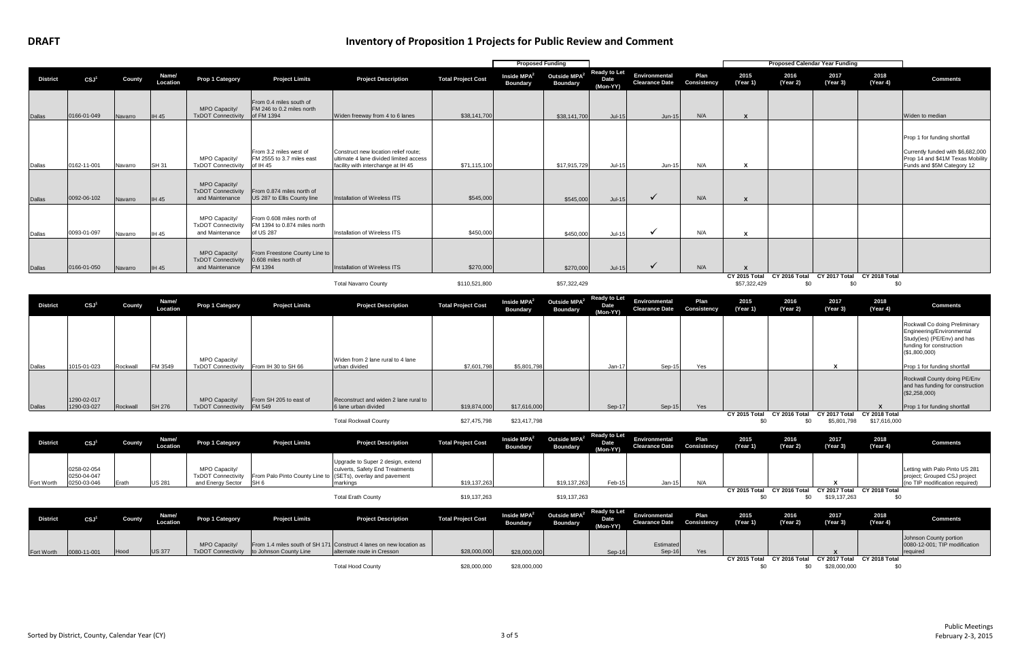|                 |                  |         |                   |                                                               |                                                                        |                                                                                                                      |                           | <b>Proposed Funding</b>                    |                                             |                                         |                                        |                            |                  |                                                         | <b>Proposed Calendar Year Funding</b> |                  |                                                                                                                                     |
|-----------------|------------------|---------|-------------------|---------------------------------------------------------------|------------------------------------------------------------------------|----------------------------------------------------------------------------------------------------------------------|---------------------------|--------------------------------------------|---------------------------------------------|-----------------------------------------|----------------------------------------|----------------------------|------------------|---------------------------------------------------------|---------------------------------------|------------------|-------------------------------------------------------------------------------------------------------------------------------------|
| <b>District</b> | CSJ <sup>1</sup> | County  | Name/<br>Location | <b>Prop 1 Category</b>                                        | <b>Project Limits</b>                                                  | <b>Project Description</b>                                                                                           | <b>Total Project Cost</b> | Inside MPA <sup>2</sup><br><b>Boundary</b> | Outside MPA <sup>2</sup><br><b>Boundary</b> | <b>Ready to Let</b><br>Date<br>(Mon-YY) | Environmental<br><b>Clearance Date</b> | Plan<br><b>Consistency</b> | 2015<br>(Year 1) | 2016<br>(Year 2)                                        | 2017<br>(Year 3)                      | 2018<br>(Year 4) | <b>Comments</b>                                                                                                                     |
| <b>Dallas</b>   | 0166-01-049      | Navarro | <b>IH 45</b>      | MPO Capacity/<br><b>TxDOT Connectivity</b>                    | From 0.4 miles south of<br>FM 246 to 0.2 miles north<br>of FM 1394     | Widen freeway from 4 to 6 lanes                                                                                      | \$38,141,700              |                                            | \$38,141,700                                | $Jul-15$                                | $Jun-15$                               | N/A                        |                  |                                                         |                                       |                  | Widen to median                                                                                                                     |
| Dallas          | 0162-11-001      | Navarro | <b>SH 31</b>      | MPO Capacity/<br><b>TxDOT Connectivity</b>                    | From 3.2 miles west of<br>FM 2555 to 3.7 miles east<br>of IH 45        | Construct new location relief route:<br>ultimate 4 lane divided limited access<br>facility with interchange at IH 45 | \$71,115,100              |                                            | \$17,915,729                                | Jul-15                                  | <b>Jun-15</b>                          | N/A                        |                  |                                                         |                                       |                  | Prop 1 for funding shortfall<br>Currently funded with \$6,682,000<br>Prop 14 and \$41M Texas Mobility<br>Funds and \$5M Category 12 |
| <b>Dallas</b>   | 0092-06-102      | Navarro | IH45              | MPO Capacity/<br><b>TxDOT Connectivity</b><br>and Maintenance | From 0.874 miles north of<br>US 287 to Ellis County line               | Installation of Wireless ITS                                                                                         | \$545,000                 |                                            | \$545,000                                   | $Jul-15$                                | $\checkmark$                           | N/A                        |                  |                                                         |                                       |                  |                                                                                                                                     |
| Dallas          | 0093-01-097      | Navarro | <b>IH 45</b>      | MPO Capacity/<br><b>TxDOT Connectivity</b><br>and Maintenance | From 0.608 miles north of<br>FM 1394 to 0.874 miles north<br>of US 287 | <b>Installation of Wireless ITS</b>                                                                                  | \$450,000                 |                                            | \$450,000                                   | Jul-15                                  | √                                      | N/A                        |                  |                                                         |                                       |                  |                                                                                                                                     |
| <b>Dallas</b>   | 0166-01-050      | Navarro | <b>IH 45</b>      | MPO Capacity/<br><b>TxDOT Connectivity</b><br>and Maintenance | From Freestone County Line to<br>0.608 miles north of<br>FM 1394       | Installation of Wireless ITS                                                                                         | \$270,000                 |                                            | \$270,000                                   | $Jul-15$                                | $\checkmark$                           | N/A                        |                  | CY 2015 Total CY 2016 Total CY 2017 Total CY 2018 Total |                                       |                  |                                                                                                                                     |

|                 |             |          |                   |                           |                        | <b>Total Navarro County</b>           | \$110,521,800             |                                            | \$57,322,429                                    |                    |                                        |                            | \$57,322,429     | \$0              | \$0              | \$0              |
|-----------------|-------------|----------|-------------------|---------------------------|------------------------|---------------------------------------|---------------------------|--------------------------------------------|-------------------------------------------------|--------------------|----------------------------------------|----------------------------|------------------|------------------|------------------|------------------|
| <b>District</b> | CSJ         | County   | Name/<br>Location | Prop 1 Category           | <b>Project Limits</b>  | <b>Project Description</b>            | <b>Total Project Cost</b> | Inside MPA <sup>2</sup><br><b>Boundary</b> | Outside $MPA^2$ Ready to Let<br><b>Boundary</b> | Date<br>$(Mon-YY)$ | Environmental<br><b>Clearance Date</b> | Plan<br><b>Consistency</b> | 2015<br>(Year 1) | 2016<br>(Year 2) | 2017<br>(Year 3) | 2018<br>(Year 4) |
|                 |             |          |                   |                           |                        |                                       |                           |                                            |                                                 |                    |                                        |                            |                  |                  |                  |                  |
|                 |             |          |                   | MPO Capacity/             |                        | Widen from 2 lane rural to 4 lane     |                           |                                            |                                                 |                    |                                        |                            |                  |                  |                  |                  |
| Dallas          | 1015-01-023 | Rockwall | FM 3549           | <b>TxDOT Connectivity</b> | From IH 30 to SH 66    | urban divided                         | \$7,601,798               | \$5,801,798                                |                                                 | Jan-17             | $Sep-15$                               | Yes                        |                  |                  |                  |                  |
|                 | 1290-02-017 |          |                   | MPO Canacity/             | From SH 205 to east of | Reconstruct and widen 2 lane rural to |                           |                                            |                                                 |                    |                                        |                            |                  |                  |                  |                  |

| 2015<br>(Year 1) | 2016<br>(Year 2) | 2017<br>(Year 3) | 2018<br>(Year 4) | <b>Comments</b>                                                                                                                        |
|------------------|------------------|------------------|------------------|----------------------------------------------------------------------------------------------------------------------------------------|
|                  |                  |                  |                  | Rockwall Co doing Preliminary<br>Engineering/Environmental<br>Study(ies) (PE/Env) and has<br>funding for construction<br>(\$1,800,000) |
|                  |                  | x                |                  | Prop 1 for funding shortfall                                                                                                           |
|                  |                  |                  | X                | Rockwall County doing PE/Env<br>and has funding for construction<br>(\$2,258,000)<br>Prop 1 for funding shortfall                      |
|                  |                  |                  |                  |                                                                                                                                        |
| 2015 Total       | CY 2016 Total    | CY 2017 Total    | CY 2018 Total    |                                                                                                                                        |
| ¢Λ               | ¢Λ               | $CE$ $001$ $700$ | 017616000        |                                                                                                                                        |

| 5<br>1) | 2016<br>(Year 2) | 2017<br>(Year 3) | 2018<br>(Year 4) | <b>Comments</b>                                                                                  |
|---------|------------------|------------------|------------------|--------------------------------------------------------------------------------------------------|
|         |                  | χ                |                  | Letting with Palo Pinto US 281<br>project; Grouped CSJ project<br>(no TIP modification required) |
| Total   | CY 2016 Total    | CY 2017 Total    | CY 2018 Total    |                                                                                                  |
| \$0     | \$0              | \$19.137.263     | \$0              |                                                                                                  |

Dallas 1290-03-027  $Rockwall$  SH 276 MPO Capacity/ TxDOT Connectivity From SH 205 to east of FM 549 6 lane urban divided 6 lane urban divided \$19,874,000 \$17,616,000 Sep-17 Sep-15 Yes **X CY 2015 Total CY 2016 Total CY 2017 Total CY 2018 Total** Total Rockwall County \$27,475,798 \$23,417,798 \$0 \$0 \$5,801,798 \$17,616,000 **District CSJ1 County Name/ Prop 1 Category Project Limits Project Description Protect Project Cost Inside MPA<sup>2</sup> Boundary Outside MPA2 Boundary Ready to Let Date (Mon-YY) Environmental Clearance Date Plan Consistency 2015 (Year 1)** Fort Worth 0258-02-054 0250-04-047 0250-03-046 Erath US 281 MPO Capacity/ TxDOT Connectivity and Energy Sector From Palo Pinto County Line to  $SH 6$ Upgrade to Super 2 design, extend culverts, Safety End Treatments (SETs), overlay and pavement markings \$19,137,263 \$19,137,263 Feb-15 Jan-15 N/A **X CY 2015 Total CY 2016 Total CY 2017 Total CY 2018 Total** Total Erath County \$19,137,263 \$19,137,263 \$0 \$19,137,263 \$0 **District CSJ1 County Name/ Location Prop 1 Category Project Limits Project Description Total Project Cost Inside MPA2 Inside MPA<sup>2</sup>**<br>Boundary **Outside MPA2 Boundary Ready to Let Date (Mon-YY) Environmental Clearance Date Plan Consistency 2015 (Year 1)** Fort Worth 0080-11-001 Hood US 377 MPO Capacity/ TxDOT Connectivity From 1.4 miles south of SH 171 to Johnson County Line Construct 4 lanes on new location as alternate route in Cresson | \$28,000,000 | \$28,000,000 | | Sep-16 **Estimated** Sep-16 Yes **CY 2015 Total CY 2016 Total CY 2017 Total CY 2018 Total**

| <b>Project Description</b>                                         | <b>Total Project Cost</b> | Inside MPA <sup>2</sup><br><b>Boundary</b> | Outside MPA <sup>2</sup><br><b>Boundary</b> | <b>Ready to Let</b><br><b>Date</b><br>(Mon-YY) | Environmental<br><b>Clearance Date</b> | Plan<br>Consistency | 2015<br>(Year 1)     | 2016<br>(Year 2) | 2017<br>(Year 3)              | 2018<br>(Year 4)     | <b>Comments</b>                                                     |
|--------------------------------------------------------------------|---------------------------|--------------------------------------------|---------------------------------------------|------------------------------------------------|----------------------------------------|---------------------|----------------------|------------------|-------------------------------|----------------------|---------------------------------------------------------------------|
| Construct 4 lanes on new location as<br>alternate route in Cresson | \$28,000,000              | \$28,000,000                               |                                             | $Sep-16$                                       | Estimated<br>$Sep-16$                  | Yes                 |                      |                  |                               |                      | Johnson County portion<br>0080-12-001; TIP modification<br>required |
| <b>Total Hood County</b>                                           | \$28,000,000              | \$28,000,000                               |                                             |                                                |                                        |                     | CY 2015 Total<br>\$0 | CY 2016 Total    | CY 2017 Total<br>\$28,000,000 | CY 2018 Total<br>\$0 |                                                                     |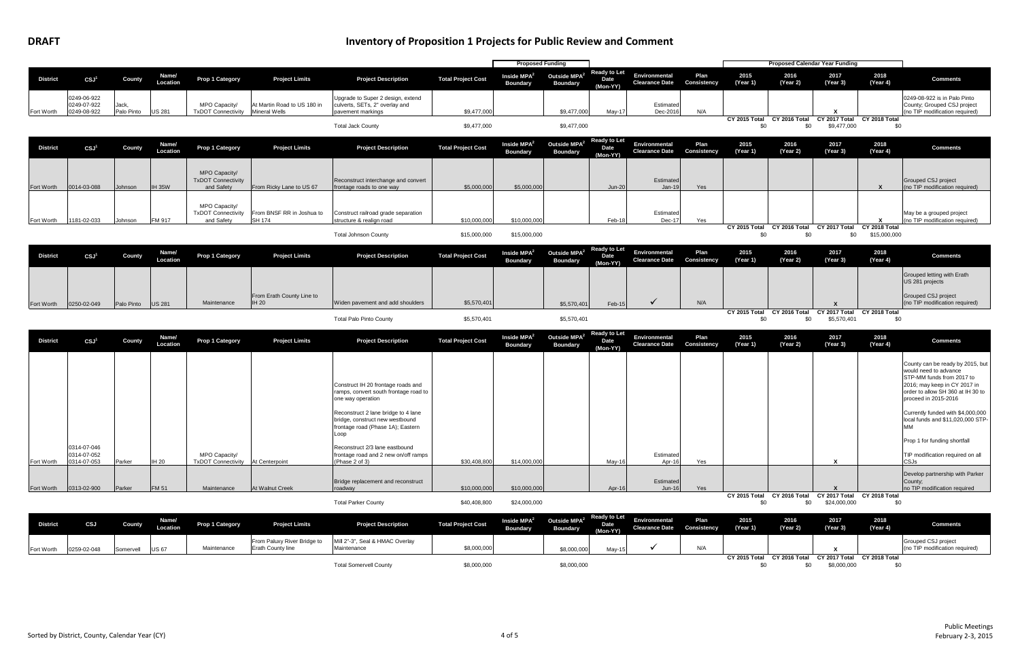|                 |                                           |                     |                   |                                                          |                                                     |                                                                                                                     |                           | <b>Proposed Funding</b>                    |                                             |                                         |                                               |                            |                      |                                    | <b>Proposed Calendar Year Funding</b>       |                               |
|-----------------|-------------------------------------------|---------------------|-------------------|----------------------------------------------------------|-----------------------------------------------------|---------------------------------------------------------------------------------------------------------------------|---------------------------|--------------------------------------------|---------------------------------------------|-----------------------------------------|-----------------------------------------------|----------------------------|----------------------|------------------------------------|---------------------------------------------|-------------------------------|
| <b>District</b> | CSJ <sup>1</sup>                          | County              | Name/<br>Location | <b>Prop 1 Category</b>                                   | <b>Project Limits</b>                               | <b>Project Description</b>                                                                                          | <b>Total Project Cost</b> | Inside MPA <sup>2</sup><br><b>Boundary</b> | Outside MPA <sup>2</sup><br><b>Boundary</b> | <b>Ready to Let</b><br>Date<br>(Mon-YY) | Environmental<br><b>Clearance Date</b>        | Plan<br>Consistency        | 2015<br>(Year 1)     | 2016<br>(Year 2)                   | 2017<br>(Year 3)                            | 2018<br>(Year 4)              |
| Fort Worth      | 0249-06-922<br>0249-07-922<br>0249-08-922 | Jack,<br>Palo Pinto | <b>US 281</b>     | MPO Capacity/<br><b>TxDOT Connectivity</b>               | At Martin Road to US 180 in<br><b>Mineral Wells</b> | Upgrade to Super 2 design, extend<br>culverts, SETs, 2" overlay and<br>pavement markings                            | \$9,477,000               |                                            | \$9,477,000                                 | May-17                                  | Estimated<br>Dec-2016                         | N/A                        |                      |                                    | x                                           |                               |
|                 |                                           |                     |                   |                                                          |                                                     | <b>Total Jack County</b>                                                                                            | \$9,477,000               |                                            | \$9,477,000                                 |                                         |                                               |                            | CY 2015 Total<br>\$0 | CY 2016 Total<br>\$0               | CY 2017 Total<br>\$9,477,000                | CY 2018 Total<br>\$0          |
| <b>District</b> | CSJ <sup>1</sup>                          | County              | Name/<br>Location | Prop 1 Category                                          | <b>Project Limits</b>                               | <b>Project Description</b>                                                                                          | <b>Total Project Cost</b> | Inside $MPA2$<br><b>Boundary</b>           | Outside MPA <sup>2</sup><br><b>Boundary</b> | <b>Ready to Let</b><br>Date<br>(Mon-YY) | Environmental<br><b>Clearance Date</b>        | Plan<br><b>Consistency</b> | 2015<br>(Year 1)     | 2016<br>(Year 2)                   | 2017<br>(Year 3)                            | 2018<br>(Year 4)              |
| Fort Worth      | 0014-03-088                               | Johnson             | <b>IH 35W</b>     | MPO Capacity/<br><b>TxDOT Connectivity</b><br>and Safety | From Ricky Lane to US 67                            | Reconstruct interchange and convert<br>frontage roads to one way                                                    | \$5,000,000               | \$5,000,000                                |                                             | <b>Jun-20</b>                           | Estimated<br>Jan-19                           | Yes                        |                      |                                    |                                             | X                             |
| Fort Worth      | 1181-02-033                               | Johnson             | FM 917            | MPO Capacity/<br><b>TxDOT Connectivity</b><br>and Safety | From BNSF RR in Joshua to<br><b>SH 174</b>          | Construct railroad grade separation<br>structure & realign road                                                     | \$10,000,000              | \$10,000,000                               |                                             | Feb-18                                  | Estimated<br>Dec-17                           | Yes                        |                      |                                    |                                             |                               |
|                 |                                           |                     |                   |                                                          |                                                     | <b>Total Johnson County</b>                                                                                         | \$15,000,000              | \$15,000,000                               |                                             |                                         |                                               |                            | CY 2015 Total<br>\$0 | CY 2016 Total<br>\$0               | CY 2017 Total<br>\$0                        | CY 2018 Total<br>\$15,000,000 |
| <b>District</b> | CSJ <sup>1</sup>                          | County              | Name/<br>Location | Prop 1 Category                                          | <b>Project Limits</b>                               | <b>Project Description</b>                                                                                          | <b>Total Project Cost</b> | Inside MPA <sup>2</sup><br><b>Boundary</b> | Outside MPA <sup>2</sup><br><b>Boundary</b> | <b>Ready to Let</b><br>Date<br>(Mon-YY) | Environmental<br><b>Clearance Date</b>        | Plan<br>Consistency        | 2015<br>(Year 1)     | 2016<br>(Year 2)                   | 2017<br>(Year 3)                            | 2018<br>(Year 4)              |
|                 |                                           |                     |                   |                                                          |                                                     |                                                                                                                     |                           |                                            |                                             |                                         |                                               |                            |                      |                                    |                                             |                               |
| Fort Worth      | 0250-02-049                               | Palo Pinto          | <b>US 281</b>     | Maintenance                                              | From Erath County Line to<br><b>IH 20</b>           | Widen pavement and add shoulders                                                                                    | \$5,570,401               |                                            | \$5,570,401                                 | Feb-15                                  | $\checkmark$                                  | N/A                        |                      |                                    | $\boldsymbol{\mathsf{x}}$                   |                               |
|                 |                                           |                     |                   |                                                          |                                                     | <b>Total Palo Pinto County</b>                                                                                      | \$5,570,401               |                                            | \$5,570,401                                 |                                         |                                               |                            | CY 2015 Total<br>\$0 | CY 2016 Total<br>\$0               | CY 2017 Total<br>\$5,570,401                | CY 2018 Total<br>\$0          |
| <b>District</b> | CSJ <sup>1</sup>                          | County              | Name/<br>Location | <b>Prop 1 Category</b>                                   | <b>Project Limits</b>                               | <b>Project Description</b>                                                                                          | <b>Total Project Cost</b> | Inside MPA <sup>2</sup><br><b>Boundary</b> | Outside MPA <sup>2</sup><br><b>Boundary</b> | <b>Ready to Let</b><br>Date<br>(Mon-YY) | <b>Environmental</b><br><b>Clearance Date</b> | Plan<br>Consistency        | 2015<br>(Year 1)     | 2016<br>(Year 2)                   | 2017<br>(Year 3)                            | 2018<br>(Year 4)              |
|                 |                                           |                     |                   |                                                          |                                                     |                                                                                                                     |                           |                                            |                                             |                                         |                                               |                            |                      |                                    |                                             |                               |
|                 |                                           |                     |                   |                                                          |                                                     | Construct IH 20 frontage roads and<br>ramps, convert south frontage road to<br>one way operation                    |                           |                                            |                                             |                                         |                                               |                            |                      |                                    |                                             |                               |
|                 |                                           |                     |                   |                                                          |                                                     | Reconstruct 2 lane bridge to 4 lane<br>bridge, construct new westbound<br>frontage road (Phase 1A); Eastern<br>Loop |                           |                                            |                                             |                                         |                                               |                            |                      |                                    |                                             |                               |
| Fort Worth      | 0314-07-046<br>0314-07-052<br>0314-07-053 | Parker              | <b>IH 20</b>      | MPO Capacity/<br>TxDOT Connectivity   At Centerpoint     |                                                     | Reconstruct 2/3 lane eastbound<br>frontage road and 2 new on/off ramps<br>(Phase 2 of 3)                            | \$30,408,800              | \$14,000,000                               |                                             | May-16                                  | Estimated<br>Apr-16                           | Yes                        |                      |                                    | $\mathbf{x}$                                |                               |
| Fort Worth      | 0313-02-900                               | Parker              | <b>FM 51</b>      | Maintenance                                              | At Walnut Creek                                     | Bridge replacement and reconstruct<br>roadway                                                                       | \$10,000,000              | \$10,000,000                               |                                             | Apr-16                                  | Estimated<br>$Jun-16$                         | Yes                        |                      |                                    | $\boldsymbol{\mathsf{x}}$                   |                               |
|                 |                                           |                     |                   |                                                          |                                                     | <b>Total Parker County</b>                                                                                          | \$40,408,800              | \$24,000,000                               |                                             |                                         |                                               |                            | \$0                  | CY 2015 Total CY 2016 Total<br>\$0 | CY 2017 Total CY 2018 Total<br>\$24,000,000 | \$0                           |
| <b>District</b> | CSJ                                       | County              | Name/<br>Location | <b>Prop 1 Category</b>                                   | <b>Project Limits</b>                               | <b>Project Description</b>                                                                                          | <b>Total Project Cost</b> | Inside MPA <sup>2</sup><br><b>Boundary</b> | Outside MPA <sup>2</sup><br><b>Boundary</b> | <b>Ready to Let</b><br>Date             | Environmental<br><b>Clearance Date</b>        | Plan<br>Consistency        | 2015<br>(Year 1)     | 2016<br>(Year 2)                   | 2017<br>(Year 3)                            | 2018<br>(Year 4)              |
|                 |                                           |                     |                   |                                                          |                                                     |                                                                                                                     |                           |                                            |                                             | (Mon-YY)                                |                                               |                            |                      |                                    |                                             |                               |



Fort Worth 0259-02-048 Somervell US 67 Maintenance From Paluxy River Bridge to Erath County line Mill 2"-3", Seal & HMAC Overlay<br>Maintenance Maintenance \$8,000,000 \$8,000,000 May-15 N/A **<sup>X</sup> CY 2015 Total CY 2016 Total CY 2017 Total CY 2018 Total** Total Somervell County \$8,000,000 \$8,000,000 \$0 \$0 \$8,000,000 \$0

| $\cdot$ 1) | (Year 2)      | (Year 3)      | (Year 4)      | <b>Comments</b>                                       |
|------------|---------------|---------------|---------------|-------------------------------------------------------|
|            |               |               |               | Grouped CSJ project<br>(no TIP modification required) |
| Total      | CY 2016 Total | CY 2017 Total | CY 2018 Total |                                                       |
| \$0        | \$0           | \$8,000,000   | \$0           |                                                       |